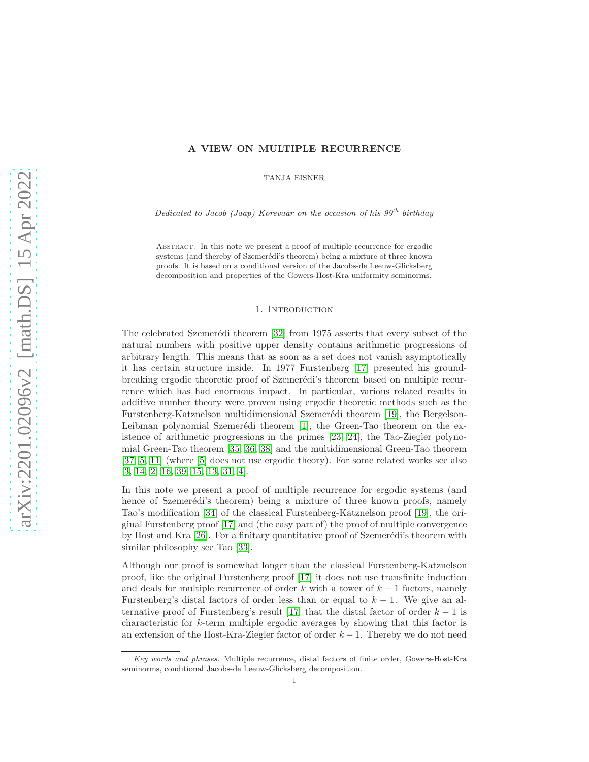## A VIEW ON MULTIPLE RECURRENCE

TANJA EISNER

Dedicated to Jacob (Jaap) Korevaar on the occasion of his  $99^{th}$  birthday

Abstract. In this note we present a proof of multiple recurrence for ergodic systems (and thereby of Szemerédi's theorem) being a mixture of three known proofs. It is based on a conditional version of the Jacobs-de Leeuw-Glicksberg decomposition and properties of the Gowers-Host-Kra uniformity seminorms.

### 1. INTRODUCTION

The celebrated Szemerédi theorem [\[32\]](#page-16-0) from 1975 asserts that every subset of the natural numbers with positive upper density contains arithmetic progressions of arbitrary length. This means that as soon as a set does not vanish asymptotically it has certain structure inside. In 1977 Furstenberg [\[17\]](#page-16-1) presented his groundbreaking ergodic theoretic proof of Szemerédi's theorem based on multiple recurrence which has had enormous impact. In particular, various related results in additive number theory were proven using ergodic theoretic methods such as the Furstenberg-Katznelson multidimensional Szemerédi theorem [\[19\]](#page-16-2), the Bergelson-Leibman polynomial Szemerédi theorem  $[1]$ , the Green-Tao theorem on the existence of arithmetic progressions in the primes [\[23,](#page-16-3) [24\]](#page-16-4), the Tao-Ziegler polynomial Green-Tao theorem [\[35,](#page-16-5) [36,](#page-16-6) [38\]](#page-16-7) and the multidimensional Green-Tao theorem [\[37,](#page-16-8) [5,](#page-15-1) [11\]](#page-15-2) (where [\[5\]](#page-15-1) does not use ergodic theory). For some related works see also [\[3,](#page-15-3) [14,](#page-15-4) [2,](#page-15-5) [16,](#page-16-9) [39,](#page-16-10) [15,](#page-15-6) [13,](#page-15-7) [31,](#page-16-11) [4\]](#page-15-8).

In this note we present a proof of multiple recurrence for ergodic systems (and hence of Szemerédi's theorem) being a mixture of three known proofs, namely Tao's modification [\[34\]](#page-16-12) of the classical Furstenberg-Katznelson proof [\[19\]](#page-16-2), the original Furstenberg proof [\[17\]](#page-16-1) and (the easy part of) the proof of multiple convergence by Host and Kra  $[26]$ . For a finitary quantitative proof of Szemerédi's theorem with similar philosophy see Tao [\[33\]](#page-16-14).

Although our proof is somewhat longer than the classical Furstenberg-Katznelson proof, like the original Furstenberg proof [\[17\]](#page-16-1) it does not use transfinite induction and deals for multiple recurrence of order k with a tower of  $k-1$  factors, namely Furstenberg's distal factors of order less than or equal to  $k - 1$ . We give an al-ternative proof of Furstenberg's result [\[17\]](#page-16-1) that the distal factor of order  $k-1$  is characteristic for k-term multiple ergodic averages by showing that this factor is an extension of the Host-Kra-Ziegler factor of order  $k - 1$ . Thereby we do not need

Key words and phrases. Multiple recurrence, distal factors of finite order, Gowers-Host-Kra seminorms, conditional Jacobs-de Leeuw-Glicksberg decomposition.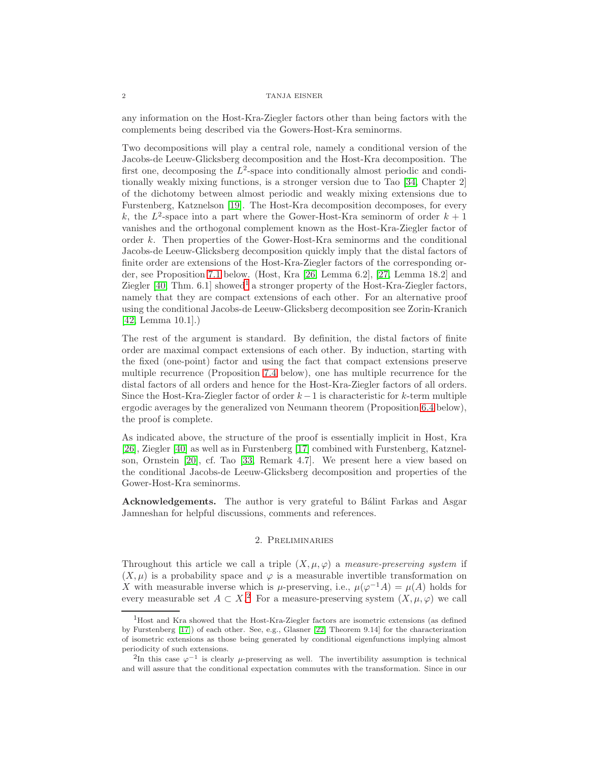any information on the Host-Kra-Ziegler factors other than being factors with the complements being described via the Gowers-Host-Kra seminorms.

Two decompositions will play a central role, namely a conditional version of the Jacobs-de Leeuw-Glicksberg decomposition and the Host-Kra decomposition. The first one, decomposing the  $L^2$ -space into conditionally almost periodic and conditionally weakly mixing functions, is a stronger version due to Tao [\[34,](#page-16-12) Chapter 2] of the dichotomy between almost periodic and weakly mixing extensions due to Furstenberg, Katznelson [\[19\]](#page-16-2). The Host-Kra decomposition decomposes, for every k, the  $L^2$ -space into a part where the Gower-Host-Kra seminorm of order  $k+1$ vanishes and the orthogonal complement known as the Host-Kra-Ziegler factor of order k. Then properties of the Gower-Host-Kra seminorms and the conditional Jacobs-de Leeuw-Glicksberg decomposition quickly imply that the distal factors of finite order are extensions of the Host-Kra-Ziegler factors of the corresponding order, see Proposition [7.1](#page-13-0) below. (Host, Kra [\[26,](#page-16-13) Lemma 6.2], [\[27,](#page-16-15) Lemma 18.2] and Ziegler  $[40, Thm. 6.1]$  $[40, Thm. 6.1]$  $[40, Thm. 6.1]$  showed<sup>1</sup> a stronger property of the Host-Kra-Ziegler factors, namely that they are compact extensions of each other. For an alternative proof using the conditional Jacobs-de Leeuw-Glicksberg decomposition see Zorin-Kranich [\[42,](#page-16-17) Lemma 10.1].)

The rest of the argument is standard. By definition, the distal factors of finite order are maximal compact extensions of each other. By induction, starting with the fixed (one-point) factor and using the fact that compact extensions preserve multiple recurrence (Proposition [7.4](#page-15-9) below), one has multiple recurrence for the distal factors of all orders and hence for the Host-Kra-Ziegler factors of all orders. Since the Host-Kra-Ziegler factor of order  $k-1$  is characteristic for k-term multiple ergodic averages by the generalized von Neumann theorem (Proposition [6.4](#page-12-0) below), the proof is complete.

As indicated above, the structure of the proof is essentially implicit in Host, Kra [\[26\]](#page-16-13), Ziegler [\[40\]](#page-16-16) as well as in Furstenberg [\[17\]](#page-16-1) combined with Furstenberg, Katznelson, Ornstein [\[20\]](#page-16-18), cf. Tao [\[33,](#page-16-14) Remark 4.7]. We present here a view based on the conditional Jacobs-de Leeuw-Glicksberg decomposition and properties of the Gower-Host-Kra seminorms.

Acknowledgements. The author is very grateful to Bálint Farkas and Asgar Jamneshan for helpful discussions, comments and references.

# 2. Preliminaries

Throughout this article we call a triple  $(X, \mu, \varphi)$  a measure-preserving system if  $(X, \mu)$  is a probability space and  $\varphi$  is a measurable invertible transformation on X with measurable inverse which is  $\mu$ -preserving, i.e.,  $\mu(\varphi^{-1}A) = \mu(A)$  holds for every measurable set  $A \subset X$ .<sup>[2](#page-1-1)</sup> For a measure-preserving system  $(X, \mu, \varphi)$  we call

<span id="page-1-0"></span><sup>1</sup>Host and Kra showed that the Host-Kra-Ziegler factors are isometric extensions (as defined by Furstenberg [\[17\]](#page-16-1)) of each other. See, e.g., Glasner [\[22,](#page-16-19) Theorem 9.14] for the characterization of isometric extensions as those being generated by conditional eigenfunctions implying almost periodicity of such extensions.

<span id="page-1-1"></span><sup>&</sup>lt;sup>2</sup>In this case  $\varphi^{-1}$  is clearly  $\mu$ -preserving as well. The invertibility assumption is technical and will assure that the conditional expectation commutes with the transformation. Since in our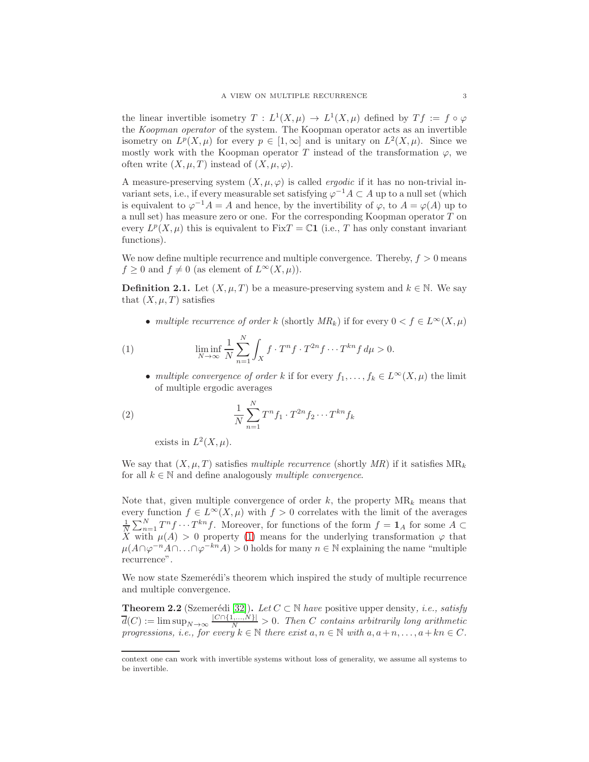the linear invertible isometry  $T: L^1(X, \mu) \to L^1(X, \mu)$  defined by  $Tf := f \circ \varphi$ the Koopman operator of the system. The Koopman operator acts as an invertible isometry on  $L^p(X,\mu)$  for every  $p \in [1,\infty]$  and is unitary on  $L^2(X,\mu)$ . Since we mostly work with the Koopman operator T instead of the transformation  $\varphi$ , we often write  $(X, \mu, T)$  instead of  $(X, \mu, \varphi)$ .

A measure-preserving system  $(X, \mu, \varphi)$  is called *ergodic* if it has no non-trivial invariant sets, i.e., if every measurable set satisfying  $\varphi^{-1}A \subset A$  up to a null set (which is equivalent to  $\varphi^{-1}A = A$  and hence, by the invertibility of  $\varphi$ , to  $A = \varphi(A)$  up to a null set) has measure zero or one. For the corresponding Koopman operator T on every  $L^p(X,\mu)$  this is equivalent to Fix $T = \mathbb{C}1$  (i.e., T has only constant invariant functions).

We now define multiple recurrence and multiple convergence. Thereby,  $f > 0$  means  $f \geq 0$  and  $f \neq 0$  (as element of  $L^{\infty}(X,\mu)$ ).

**Definition 2.1.** Let  $(X, \mu, T)$  be a measure-preserving system and  $k \in \mathbb{N}$ . We say that  $(X, \mu, T)$  satisfies

<span id="page-2-0"></span>• multiple recurrence of order k (shortly  $MR_k$ ) if for every  $0 < f \in L^{\infty}(X, \mu)$ 

(1) 
$$
\liminf_{N \to \infty} \frac{1}{N} \sum_{n=1}^{N} \int_{X} f \cdot T^{n} f \cdot T^{2n} f \cdots T^{kn} f d\mu > 0.
$$

• multiple convergence of order k if for every  $f_1, \ldots, f_k \in L^{\infty}(X, \mu)$  the limit of multiple ergodic averages

(2) 
$$
\frac{1}{N} \sum_{n=1}^{N} T^n f_1 \cdot T^{2n} f_2 \cdots T^{kn} f_k
$$

<span id="page-2-1"></span>exists in  $L^2(X,\mu)$ .

We say that  $(X, \mu, T)$  satisfies multiple recurrence (shortly MR) if it satisfies  $MR_k$ for all  $k \in \mathbb{N}$  and define analogously *multiple convergence*.

Note that, given multiple convergence of order  $k$ , the property  $MR_k$  means that every function  $f \in L^{\infty}(X,\mu)$  with  $f > 0$  correlates with the limit of the averages  $\frac{1}{N}\sum_{n=1}^{N}T^{n}f\cdots T^{kn}f$ . Moreover, for functions of the form  $f=\mathbf{1}_{A}$  for some  $A\subset$ X with  $\mu(A) > 0$  property [\(1\)](#page-2-0) means for the underlying transformation  $\varphi$  that  $\mu(A \cap \varphi^{-n}A \cap \ldots \cap \varphi^{-kn}A) > 0$  holds for many  $n \in \mathbb{N}$  explaining the name "multiple recurrence".

We now state Szemerédi's theorem which inspired the study of multiple recurrence and multiple convergence.

**Theorem 2.2** (Szemerédi [\[32\]](#page-16-0)). Let  $C \subset \mathbb{N}$  have positive upper density, *i.e.*, satisfy  $\overline{d}(C) := \limsup_{N \to \infty} \frac{|C \cap \{1,...,N\}|}{N} > 0$ . Then C contains arbitrarily long arithmetic progressions, i.e., for every  $k \in \mathbb{N}$  there exist  $a, n \in \mathbb{N}$  with  $a, a+n, \ldots, a+kn \in C$ .

context one can work with invertible systems without loss of generality, we assume all systems to be invertible.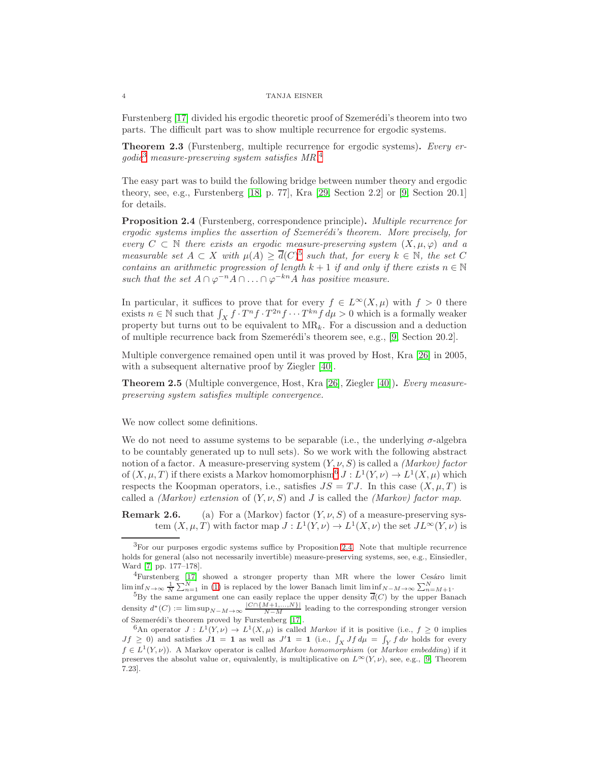Furstenberg [\[17\]](#page-16-1) divided his ergodic theoretic proof of Szemerédi's theorem into two parts. The difficult part was to show multiple recurrence for ergodic systems.

Theorem 2.3 (Furstenberg, multiple recurrence for ergodic systems). Every er- $qodic<sup>3</sup> measure-preserving system satisfies MR.<sup>4</sup>$  $qodic<sup>3</sup> measure-preserving system satisfies MR.<sup>4</sup>$  $qodic<sup>3</sup> measure-preserving system satisfies MR.<sup>4</sup>$  $qodic<sup>3</sup> measure-preserving system satisfies MR.<sup>4</sup>$  $qodic<sup>3</sup> measure-preserving system satisfies MR.<sup>4</sup>$ 

The easy part was to build the following bridge between number theory and ergodic theory, see, e.g., Furstenberg  $[18, p. 77]$ , Kra  $[29, Section 2.2]$  or  $[9, Section 2.0.1]$ for details.

<span id="page-3-4"></span>Proposition 2.4 (Furstenberg, correspondence principle). Multiple recurrence for ergodic systems implies the assertion of Szemerédi's theorem. More precisely, for every  $C \subset \mathbb{N}$  there exists an ergodic measure-preserving system  $(X, \mu, \varphi)$  and a measurable set  $A \subset X$  with  $\mu(A) \geq \overline{d}(C)^5$  $\mu(A) \geq \overline{d}(C)^5$  such that, for every  $k \in \mathbb{N}$ , the set C contains an arithmetic progression of length  $k + 1$  if and only if there exists  $n \in \mathbb{N}$ such that the set  $A \cap \varphi^{-n}A \cap ... \cap \varphi^{-kn}A$  has positive measure.

In particular, it suffices to prove that for every  $f \in L^{\infty}(X,\mu)$  with  $f > 0$  there exists  $n \in \mathbb{N}$  such that  $\int_X f \cdot T^n f \cdot T^{2n} f \cdots T^{kn} f d\mu > 0$  which is a formally weaker property but turns out to be equivalent to  $MR_k$ . For a discussion and a deduction of multiple recurrence back from Szemerédi's theorem see, e.g.,  $[9, Section 20.2]$ .

Multiple convergence remained open until it was proved by Host, Kra [\[26\]](#page-16-13) in 2005, with a subsequent alternative proof by Ziegler [\[40\]](#page-16-16).

<span id="page-3-5"></span>Theorem 2.5 (Multiple convergence, Host, Kra [\[26\]](#page-16-13), Ziegler [\[40\]](#page-16-16)). Every measurepreserving system satisfies multiple convergence.

We now collect some definitions.

We do not need to assume systems to be separable (i.e., the underlying  $\sigma$ -algebra to be countably generated up to null sets). So we work with the following abstract notion of a factor. A measure-preserving system  $(Y, \nu, S)$  is called a *(Markov) factor* of  $(X, \mu, T)$  if there exists a Markov homomorphism<sup>[6](#page-3-3)</sup>  $J: L^1(Y, \nu) \to L^1(X, \mu)$  which respects the Koopman operators, i.e., satisfies  $JS = TJ$ . In this case  $(X, \mu, T)$  is called a *(Markov)* extension of  $(Y, \nu, S)$  and J is called the *(Markov)* factor map.

**Remark 2.6.** (a) For a (Markov) factor  $(Y, \nu, S)$  of a measure-preserving system  $(X, \mu, T)$  with factor map  $J: L^1(Y, \nu) \to L^1(X, \nu)$  the set  $JL^{\infty}(Y, \nu)$  is

<span id="page-3-1"></span> $4$ Furstenberg [\[17\]](#page-16-1) showed a stronger property than MR where the lower Cesáro limit  $\liminf_{N \to \infty} \frac{1}{N} \sum_{n=1}^{N}$  in [\(1\)](#page-2-0) is replaced by the lower Banach limit  $\liminf_{N \to N \to \infty} \sum_{n=M+1}^{N}$ .

<span id="page-3-0"></span><sup>&</sup>lt;sup>3</sup>For our purposes ergodic systems suffice by Proposition [2.4.](#page-3-4) Note that multiple recurrence holds for general (also not necessarily invertible) measure-preserving systems, see, e.g., Einsiedler, Ward [\[7,](#page-15-11) pp. 177–178].

<span id="page-3-2"></span> ${}^{5}$ By the same argument one can easily replace the upper density  $\overline{d}(C)$  by the upper Banach density  $d^*(C) := \limsup_{N-M \to \infty} \frac{|C \cap \{M+1,\ldots,N\}|}{N-M}$  leading to the corresponding stronger version of Szemerédi's theorem proved by Furstenberg [\[17\]](#page-16-1).

<span id="page-3-3"></span><sup>&</sup>lt;sup>6</sup>An operator  $J: L^1(Y, \nu) \to L^1(X, \mu)$  is called Markov if it is positive (i.e.,  $f \geq 0$  implies  $Jf \geq 0$ ) and satisfies  $J1 = 1$  as well as  $J'1 = 1$  (i.e.,  $\int_X Jf d\mu = \int_Y f d\nu$  holds for every  $f \in L^1(Y, \nu)$ . A Markov operator is called *Markov homomorphism* (or *Markov embedding*) if it preserves the absolut value or, equivalently, is multiplicative on  $L^{\infty}(Y, \nu)$ , see, e.g., [\[9,](#page-15-10) Theorem 7.23].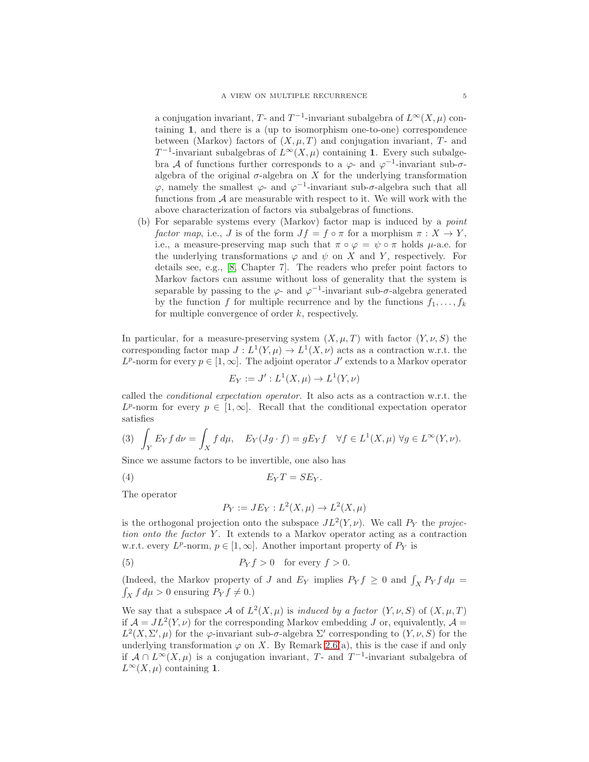a conjugation invariant, T- and  $T^{-1}$ -invariant subalgebra of  $L^{\infty}(X,\mu)$  containing 1, and there is a (up to isomorphism one-to-one) correspondence between (Markov) factors of  $(X, \mu, T)$  and conjugation invariant, T- and  $T^{-1}$ -invariant subalgebras of  $L^{\infty}(X,\mu)$  containing 1. Every such subalgebra A of functions further corresponds to a  $\varphi$ - and  $\varphi$ <sup>-1</sup>-invariant sub- $\sigma$ algebra of the original  $\sigma$ -algebra on X for the underlying transformation  $\varphi$ , namely the smallest  $\varphi$ - and  $\varphi$ <sup>-1</sup>-invariant sub- $\sigma$ -algebra such that all functions from  $A$  are measurable with respect to it. We will work with the above characterization of factors via subalgebras of functions.

(b) For separable systems every (Markov) factor map is induced by a point factor map, i.e., J is of the form  $Jf = f \circ \pi$  for a morphism  $\pi : X \to Y$ , i.e., a measure-preserving map such that  $\pi \circ \varphi = \psi \circ \pi$  holds  $\mu$ -a.e. for the underlying transformations  $\varphi$  and  $\psi$  on X and Y, respectively. For details see, e.g., [\[8,](#page-15-12) Chapter 7]. The readers who prefer point factors to Markov factors can assume without loss of generality that the system is separable by passing to the  $\varphi$ - and  $\varphi^{-1}$ -invariant sub- $\sigma$ -algebra generated by the function f for multiple recurrence and by the functions  $f_1, \ldots, f_k$ for multiple convergence of order  $k$ , respectively.

In particular, for a measure-preserving system  $(X, \mu, T)$  with factor  $(Y, \nu, S)$  the corresponding factor map  $J: L^1(Y, \mu) \to L^1(X, \nu)$  acts as a contraction w.r.t. the  $L^p$ -norm for every  $p \in [1,\infty]$ . The adjoint operator  $J'$  extends to a Markov operator

$$
E_Y := J' : L^1(X, \mu) \to L^1(Y, \nu)
$$

called the conditional expectation operator. It also acts as a contraction w.r.t. the  $L^p$ -norm for every  $p \in [1,\infty]$ . Recall that the conditional expectation operator satisfies

<span id="page-4-2"></span>(3) 
$$
\int_Y E_Y f \, d\nu = \int_X f \, d\mu, \quad E_Y(Jg \cdot f) = gE_Y f \quad \forall f \in L^1(X, \mu) \ \forall g \in L^\infty(Y, \nu).
$$

Since we assume factors to be invertible, one also has

$$
E_Y T = SE_Y.
$$

The operator

<span id="page-4-1"></span><span id="page-4-0"></span>
$$
P_Y := JE_Y : L^2(X, \mu) \to L^2(X, \mu)
$$

is the orthogonal projection onto the subspace  $JL^2(Y,\nu)$ . We call  $P_Y$  the projection onto the factor  $Y$ . It extends to a Markov operator acting as a contraction w.r.t. every  $L^p$ -norm,  $p \in [1,\infty]$ . Another important property of  $P_Y$  is

(5) 
$$
P_Y f > 0 \quad \text{for every } f > 0.
$$

(Indeed, the Markov property of J and  $E_Y$  implies  $P_Y f \geq 0$  and  $\int_X P_Y f d\mu =$  $\int_X f d\mu > 0$  ensuring  $P_Y f \neq 0.$ )

We say that a subspace A of  $L^2(X,\mu)$  is induced by a factor  $(Y,\nu, S)$  of  $(X,\mu, T)$ if  $\mathcal{A} = JL^2(Y, \nu)$  for the corresponding Markov embedding J or, equivalently,  $\mathcal{A} =$  $L^2(X, \Sigma', \mu)$  for the  $\varphi$ -invariant sub- $\sigma$ -algebra  $\Sigma'$  corresponding to  $(Y, \nu, S)$  for the underlying transformation  $\varphi$  on X. By Remark 2.6(a), this is the case if and only if  $\mathcal{A} \cap L^{\infty}(X,\mu)$  is a conjugation invariant, T- and T<sup>-1</sup>-invariant subalgebra of  $L^{\infty}(X,\mu)$  containing 1.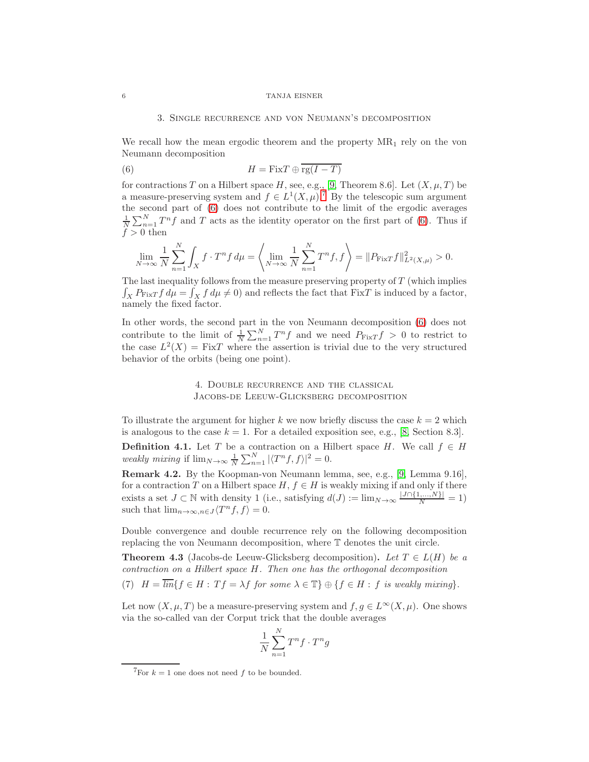## <span id="page-5-1"></span>3. Single recurrence and von Neumann's decomposition

We recall how the mean ergodic theorem and the property  $MR_1$  rely on the von Neumann decomposition

(6) 
$$
H = \text{Fix} T \oplus \overline{\text{rg}(I - T)}
$$

for contractions T on a Hilbert space H, see, e.g., [\[9,](#page-15-10) Theorem 8.6]. Let  $(X, \mu, T)$  be a measure-preserving system and  $f \in L^1(X, \mu)$ .<sup>[7](#page-5-0)</sup> By the telescopic sum argument the second part of [\(6\)](#page-5-1) does not contribute to the limit of the ergodic averages  $\frac{1}{N}\sum_{n=1}^{N}T^{n}f$  and T acts as the identity operator on the first part of [\(6\)](#page-5-1). Thus if  $f > 0$  then

$$
\lim_{N \to \infty} \frac{1}{N} \sum_{n=1}^{N} \int_{X} f \cdot T^{n} f \, d\mu = \left\langle \lim_{N \to \infty} \frac{1}{N} \sum_{n=1}^{N} T^{n} f, f \right\rangle = \| P_{\text{Fix}T} f \|_{L^{2}(X, \mu)}^{2} > 0.
$$

The last inequality follows from the measure preserving property of  $T$  (which implies  $\int_X P_{\text{Fix}T} f d\mu = \int_X f d\mu \neq 0$  and reflects the fact that FixT is induced by a factor, namely the fixed factor.

In other words, the second part in the von Neumann decomposition [\(6\)](#page-5-1) does not contribute to the limit of  $\frac{1}{N} \sum_{n=1}^{N} T^n f$  and we need  $P_{\text{Fix}T} f > 0$  to restrict to the case  $L^2(X) = \text{Fix }T$  where the assertion is trivial due to the very structured behavior of the orbits (being one point).

# 4. Double recurrence and the classical Jacobs-de Leeuw-Glicksberg decomposition

To illustrate the argument for higher k we now briefly discuss the case  $k = 2$  which is analogous to the case  $k = 1$ . For a detailed exposition see, e.g., [\[8,](#page-15-12) Section 8.3].

**Definition 4.1.** Let T be a contraction on a Hilbert space H. We call  $f \in H$ weakly mixing if  $\lim_{N \to \infty} \frac{1}{N} \sum_{n=1}^{N} |\langle T^n f, f \rangle|^2 = 0.$ 

<span id="page-5-3"></span>Remark 4.2. By the Koopman-von Neumann lemma, see, e.g., [\[9,](#page-15-10) Lemma 9.16], for a contraction T on a Hilbert space  $H, f \in H$  is weakly mixing if and only if there exists a set  $J \subset \mathbb{N}$  with density 1 (i.e., satisfying  $d(J) := \lim_{N \to \infty} \frac{|J \cap \{1, ..., N\}|}{N} = 1$ ) such that  $\lim_{n\to\infty, n\in J} \langle T^n f, f \rangle = 0.$ 

Double convergence and double recurrence rely on the following decomposition replacing the von Neumann decomposition, where T denotes the unit circle.

<span id="page-5-4"></span>**Theorem 4.3** (Jacobs-de Leeuw-Glicksberg decomposition). Let  $T \in L(H)$  be a contraction on a Hilbert space H. Then one has the orthogonal decomposition

<span id="page-5-2"></span>(7)  $H = \overline{\lim} \{ f \in H : Tf = \lambda f \text{ for some } \lambda \in \mathbb{T} \} \oplus \{ f \in H : f \text{ is weakly mixing} \}.$ 

Let now  $(X, \mu, T)$  be a measure-preserving system and  $f, g \in L^{\infty}(X, \mu)$ . One shows via the so-called van der Corput trick that the double averages

$$
\frac{1}{N} \sum_{n=1}^{N} T^n f \cdot T^n g
$$

<span id="page-5-0"></span><sup>&</sup>lt;sup>7</sup>For  $k = 1$  one does not need f to be bounded.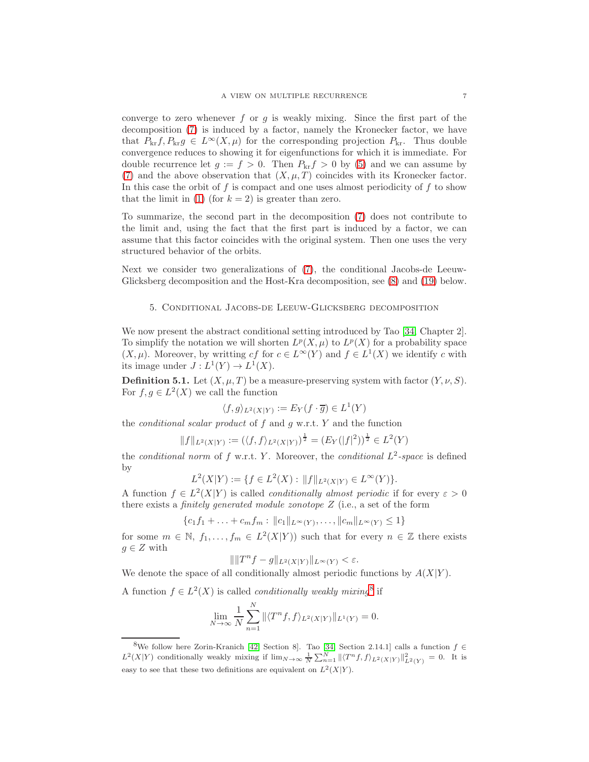converge to zero whenever f or g is weakly mixing. Since the first part of the decomposition [\(7\)](#page-5-2) is induced by a factor, namely the Kronecker factor, we have that  $P_{\text{kr}}f, P_{\text{kr}}g \in L^{\infty}(X, \mu)$  for the corresponding projection  $P_{\text{kr}}$ . Thus double convergence reduces to showing it for eigenfunctions for which it is immediate. For double recurrence let  $g := f > 0$ . Then  $P_{k,r} f > 0$  by [\(5\)](#page-4-0) and we can assume by [\(7\)](#page-5-2) and the above observation that  $(X, \mu, T)$  coincides with its Kronecker factor. In this case the orbit of f is compact and one uses almost periodicity of f to show that the limit in [\(1\)](#page-2-0) (for  $k = 2$ ) is greater than zero.

To summarize, the second part in the decomposition [\(7\)](#page-5-2) does not contribute to the limit and, using the fact that the first part is induced by a factor, we can assume that this factor coincides with the original system. Then one uses the very structured behavior of the orbits.

Next we consider two generalizations of [\(7\)](#page-5-2), the conditional Jacobs-de Leeuw-Glicksberg decomposition and the Host-Kra decomposition, see [\(8\)](#page-8-0) and [\(19\)](#page-12-1) below.

### 5. Conditional Jacobs-de Leeuw-Glicksberg decomposition

We now present the abstract conditional setting introduced by Tao [\[34,](#page-16-12) Chapter 2]. To simplify the notation we will shorten  $L^p(X, \mu)$  to  $L^p(X)$  for a probability space  $(X, \mu)$ . Moreover, by writting cf for  $c \in L^{\infty}(Y)$  and  $f \in L^{1}(X)$  we identify c with its image under  $J: L^1(Y) \to L^1(X)$ .

**Definition 5.1.** Let  $(X, \mu, T)$  be a measure-preserving system with factor  $(Y, \nu, S)$ . For  $f, g \in L^2(X)$  we call the function

$$
\langle f, g \rangle_{L^2(X|Y)} := E_Y(f \cdot \overline{g}) \in L^1(Y)
$$

the *conditional scalar product* of  $f$  and  $g$  w.r.t.  $Y$  and the function

$$
||f||_{L^{2}(X|Y)} := (\langle f, f \rangle_{L^{2}(X|Y)})^{\frac{1}{2}} = (E_{Y}(|f|^{2}))^{\frac{1}{2}} \in L^{2}(Y)
$$

the conditional norm of f w.r.t. Y. Moreover, the conditional  $L^2$ -space is defined by

$$
L^{2}(X|Y) := \{ f \in L^{2}(X) : ||f||_{L^{2}(X|Y)} \in L^{\infty}(Y) \}.
$$

A function  $f \in L^2(X|Y)$  is called *conditionally almost periodic* if for every  $\varepsilon > 0$ there exists a finitely generated module zonotope Z (i.e., a set of the form

$$
\{c_1f_1 + \ldots + c_mf_m : ||c_1||_{L^{\infty}(Y)}, \ldots, ||c_m||_{L^{\infty}(Y)} \le 1\}
$$

for some  $m \in \mathbb{N}$ ,  $f_1, \ldots, f_m \in L^2(X|Y)$  such that for every  $n \in \mathbb{Z}$  there exists  $g \in Z$  with

$$
\|\|T^n f - g\|_{L^2(X|Y)}\|_{L^\infty(Y)} < \varepsilon.
$$

We denote the space of all conditionally almost periodic functions by  $A(X|Y)$ .

A function  $f \in L^2(X)$  is called *conditionally weakly mixing*<sup>[8](#page-6-0)</sup> if

$$
\lim_{N \to \infty} \frac{1}{N} \sum_{n=1}^{N} \| \langle T^n f, f \rangle_{L^2(X|Y)} \|_{L^1(Y)} = 0.
$$

<span id="page-6-0"></span><sup>&</sup>lt;sup>8</sup>We follow here Zorin-Kranich [\[42,](#page-16-17) Section 8]. Tao [\[34,](#page-16-12) Section 2.14.1] calls a function  $f \in$  $L^2(X|Y)$  conditionally weakly mixing if  $\lim_{N\to\infty}\frac{1}{N}\sum_{n=1}^N ||\langle T^n f,f\rangle_{L^2(X|Y)}||^2_{L^2(Y)}=0$ . It is easy to see that these two definitions are equivalent on  $L^2(X|Y)$ .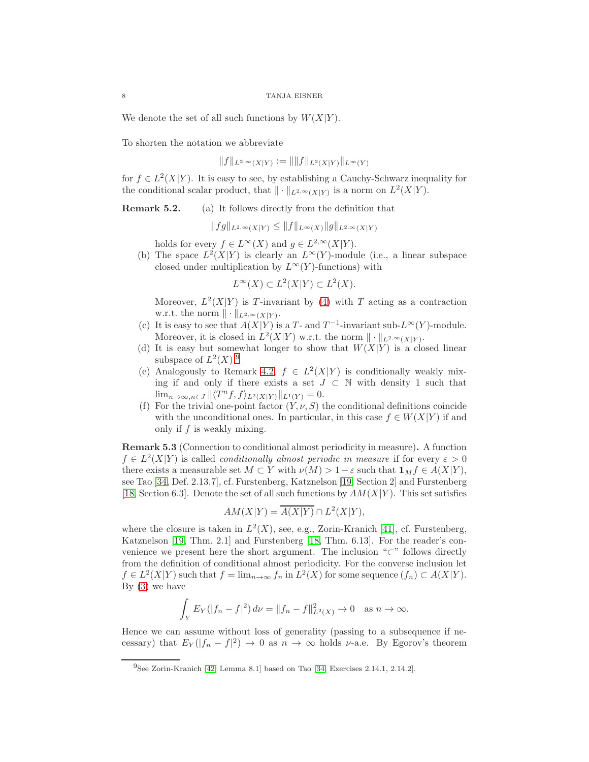We denote the set of all such functions by  $W(X|Y)$ .

To shorten the notation we abbreviate

 $||f||_{L^{2,\infty}(X|Y)} := ||||f||_{L^{2}(X|Y)}||_{L^{\infty}(Y)}$ 

for  $f \in L^2(X|Y)$ . It is easy to see, by establishing a Cauchy-Schwarz inequality for the conditional scalar product, that  $\|\cdot\|_{L^{2,\infty}(X|Y)}$  is a norm on  $L^2(X|Y)$ .

Remark 5.2. (a) It follows directly from the definition that

$$
||fg||_{L^{2,\infty}(X|Y)} \leq ||f||_{L^{\infty}(X)} ||g||_{L^{2,\infty}(X|Y)}
$$

holds for every  $f \in L^{\infty}(X)$  and  $g \in L^{2,\infty}(X|Y)$ .

(b) The space  $L^2(X|Y)$  is clearly an  $L^{\infty}(Y)$ -module (i.e., a linear subspace closed under multiplication by  $L^{\infty}(Y)$ -functions) with

 $L^{\infty}(X) \subset L^2(X|Y) \subset L^2(X).$ 

Moreover,  $L^2(X|Y)$  is T-invariant by [\(4\)](#page-4-1) with T acting as a contraction w.r.t. the norm  $\|\cdot\|_{L^{2,\infty}(X|Y)}$ .

- (c) It is easy to see that  $A(X|Y)$  is a T- and  $T^{-1}$ -invariant sub- $L^{\infty}(Y)$ -module. Moreover, it is closed in  $L^2(X|Y)$  w.r.t. the norm  $\|\cdot\|_{L^{2,\infty}(X|Y)}$ .
- (d) It is easy but somewhat longer to show that  $W(X|Y)$  is a closed linear subspace of  $L^2(X)$ .<sup>[9](#page-7-0)</sup>
- (e) Analogously to Remark [4.2,](#page-5-3)  $f \in L^2(X|Y)$  is conditionally weakly mixing if and only if there exists a set  $J \subset \mathbb{N}$  with density 1 such that  $\lim_{n\to\infty,n\in J} \|\langle T^n f,f\rangle_{L^2(X|Y)}\|_{L^1(Y)}=0.$
- (f) For the trivial one-point factor  $(Y, \nu, S)$  the conditional definitions coincide with the unconditional ones. In particular, in this case  $f \in W(X|Y)$  if and only if  $f$  is weakly mixing.

<span id="page-7-1"></span>Remark 5.3 (Connection to conditional almost periodicity in measure). A function  $f \in L^2(X|Y)$  is called *conditionally almost periodic in measure* if for every  $\varepsilon > 0$ there exists a measurable set  $M \subset Y$  with  $\nu(M) > 1 - \varepsilon$  such that  $\mathbf{1}_M f \in A(X|Y)$ , see Tao [\[34,](#page-16-12) Def. 2.13.7], cf. Furstenberg, Katznelson [\[19,](#page-16-2) Section 2] and Furstenberg [\[18,](#page-16-20) Section 6.3]. Denote the set of all such functions by  $AM(X|Y)$ . This set satisfies

$$
AM(X|Y) = \overline{A(X|Y)} \cap L^2(X|Y),
$$

where the closure is taken in  $L^2(X)$ , see, e.g., Zorin-Kranich [\[41\]](#page-16-22), cf. Furstenberg, Katznelson [\[19,](#page-16-2) Thm. 2.1] and Furstenberg [\[18,](#page-16-20) Thm. 6.13]. For the reader's convenience we present here the short argument. The inclusion "⊂" follows directly from the definition of conditional almost periodicity. For the converse inclusion let  $f \in L^2(X|Y)$  such that  $f = \lim_{n \to \infty} f_n$  in  $L^2(X)$  for some sequence  $(f_n) \subset A(X|Y)$ . By  $(3)$  we have

$$
\int_Y E_Y(|f_n - f|^2) \, d\nu = \|f_n - f\|_{L^2(X)}^2 \to 0 \quad \text{as } n \to \infty.
$$

Hence we can assume without loss of generality (passing to a subsequence if necessary) that  $E_Y(|f_n - f|^2) \to 0$  as  $n \to \infty$  holds  $\nu$ -a.e. By Egorov's theorem

<span id="page-7-0"></span><sup>9</sup>See Zorin-Kranich [\[42,](#page-16-17) Lemma 8.1] based on Tao [\[34,](#page-16-12) Exercises 2.14.1, 2.14.2].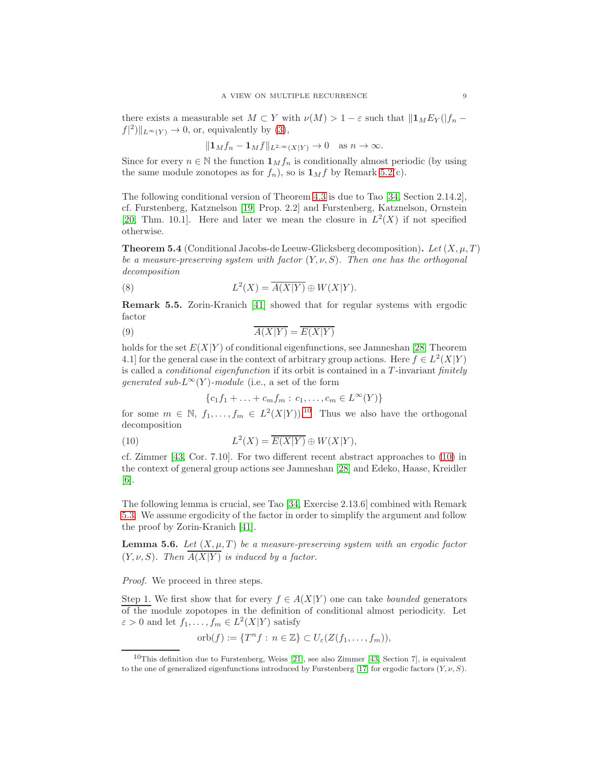there exists a measurable set  $M \subset Y$  with  $\nu(M) > 1 - \varepsilon$  such that  $\|\mathbf{1}_M E_Y(\|f_n - f\|_F)$  $f(2)\|_{L^{\infty}(Y)} \to 0$ , or, equivalently by [\(3\)](#page-4-2),

$$
||\mathbf{1}_M f_n - \mathbf{1}_M f||_{L^{2,\infty}(X|Y)} \to 0 \quad \text{as } n \to \infty.
$$

Since for every  $n \in \mathbb{N}$  the function  $\mathbf{1}_M f_n$  is conditionally almost periodic (by using the same module zonotopes as for  $f_n$ , so is  $\mathbf{1}_M f$  by Remark 5.2(c).

The following conditional version of Theorem [4.3](#page-5-4) is due to Tao [\[34,](#page-16-12) Section 2.14.2], cf. Furstenberg, Katznelson [\[19,](#page-16-2) Prop. 2.2] and Furstenberg, Katznelson, Ornstein [\[20,](#page-16-18) Thm. 10.1]. Here and later we mean the closure in  $L^2(X)$  if not specified otherwise.

<span id="page-8-6"></span>**Theorem 5.4** (Conditional Jacobs-de Leeuw-Glicksberg decomposition). Let  $(X, \mu, T)$ be a measure-preserving system with factor  $(Y, \nu, S)$ . Then one has the orthogonal decomposition

<span id="page-8-0"></span>(8) 
$$
L^{2}(X) = \overline{A(X|Y)} \oplus W(X|Y).
$$

<span id="page-8-5"></span>Remark 5.5. Zorin-Kranich [\[41\]](#page-16-22) showed that for regular systems with ergodic factor

$$
\overline{A(X|Y)} = \overline{E(X|Y)}
$$

holds for the set  $E(X|Y)$  of conditional eigenfunctions, see Jamneshan [\[28,](#page-16-23) Theorem 4.1] for the general case in the context of arbitrary group actions. Here  $f \in L^2(X|Y)$ is called a *conditional eigenfunction* if its orbit is contained in a  $T$ -invariant *finitely* qenerated sub- $L^{\infty}(Y)$ -module (i.e., a set of the form

<span id="page-8-3"></span><span id="page-8-2"></span>
$$
\{c_1f_1 + \ldots + c_mf_m : c_1, \ldots, c_m \in L^{\infty}(Y)\}\
$$

for some  $m \in \mathbb{N}$ ,  $f_1, \ldots, f_m \in L^2(X|Y)$ .<sup>[10](#page-8-1)</sup> Thus we also have the orthogonal decomposition

(10) 
$$
L^{2}(X) = \overline{E(X|Y)} \oplus W(X|Y),
$$

cf. Zimmer [\[43,](#page-16-24) Cor. 7.10]. For two different recent abstract approaches to [\(10\)](#page-8-2) in the context of general group actions see Jamneshan [\[28\]](#page-16-23) and Edeko, Haase, Kreidler [\[6\]](#page-15-13).

The following lemma is crucial, see Tao [\[34,](#page-16-12) Exercise 2.13.6] combined with Remark [5.3.](#page-7-1) We assume ergodicity of the factor in order to simplify the argument and follow the proof by Zorin-Kranich [\[41\]](#page-16-22).

<span id="page-8-4"></span>**Lemma 5.6.** Let  $(X, \mu, T)$  be a measure-preserving system with an ergodic factor  $(Y, \nu, S)$ . Then  $A(X|Y)$  is induced by a factor.

Proof. We proceed in three steps.

Step 1. We first show that for every  $f \in A(X|Y)$  one can take *bounded* generators of the module zopotopes in the definition of conditional almost periodicity. Let  $\varepsilon > 0$  and let  $f_1, \ldots, f_m \in L^2(X|Y)$  satisfy

$$
\mathrm{orb}(f) := \{T^n f : n \in \mathbb{Z}\} \subset U_{\varepsilon}(Z(f_1, \ldots, f_m)),
$$

<span id="page-8-1"></span><sup>&</sup>lt;sup>10</sup>This definition due to Furstenberg, Weiss [\[21\]](#page-16-25), see also Zimmer [\[43,](#page-16-24) Section 7], is equivalent to the one of generalized eigenfunctions introduced by Furstenberg [\[17\]](#page-16-1) for ergodic factors  $(Y, \nu, S)$ .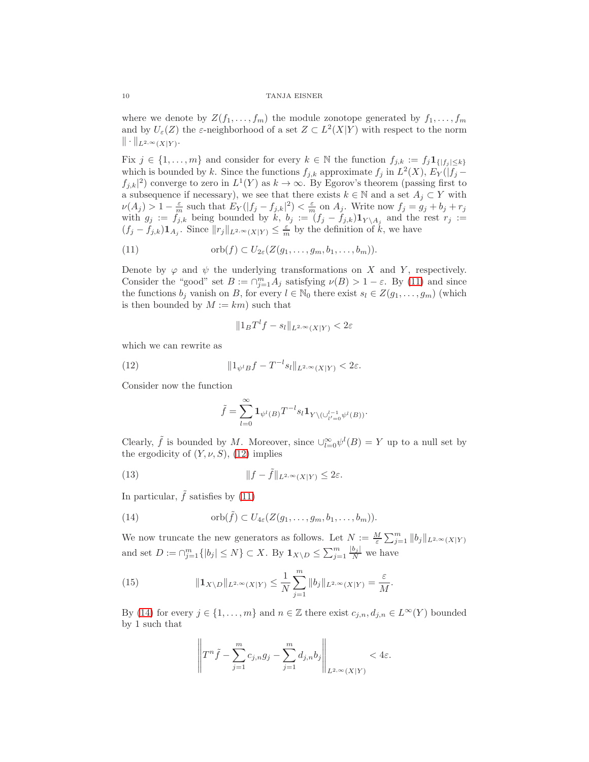where we denote by  $Z(f_1, \ldots, f_m)$  the module zonotope generated by  $f_1, \ldots, f_m$ and by  $U_{\varepsilon}(Z)$  the  $\varepsilon$ -neighborhood of a set  $Z \subset L^2(X|Y)$  with respect to the norm  $\|\cdot\|_{L^{2,\infty}(X|Y)}.$ 

Fix  $j \in \{1, \ldots, m\}$  and consider for every  $k \in \mathbb{N}$  the function  $f_{j,k} := f_j \mathbf{1}_{\{|f_j| \leq k\}}$ which is bounded by k. Since the functions  $f_{j,k}$  approximate  $f_j$  in  $L^2(X)$ ,  $E_Y(|f_j$  $f_{j,k}|^2$  converge to zero in  $L^1(Y)$  as  $k \to \infty$ . By Egorov's theorem (passing first to a subsequence if necessary), we see that there exists  $k \in \mathbb{N}$  and a set  $A_j \subset Y$  with  $\nu(A_j) > 1 - \frac{\varepsilon}{m}$  such that  $E_Y(|f_j - f_{j,k}|^2) < \frac{\varepsilon}{m}$  on  $A_j$ . Write now  $f_j = g_j + b_j + r_j$ with  $g_j := f_{j,k}$  being bounded by  $k, b_j := (f_j - f_{j,k}) \mathbf{1}_{Y \setminus A_j}$  and the rest  $r_j :=$  $(f_j - f_{j,k}) \mathbf{1}_{A_j}$ . Since  $||r_j||_{L^{2,\infty}(X|Y)} \leq \frac{\varepsilon}{m}$  by the definition of  $k$ , we have

(11) 
$$
\operatorname{orb}(f) \subset U_{2\varepsilon}(Z(g_1,\ldots,g_m,b_1,\ldots,b_m)).
$$

Denote by  $\varphi$  and  $\psi$  the underlying transformations on X and Y, respectively. Consider the "good" set  $B := \bigcap_{j=1}^m A_j$  satisfying  $\nu(B) > 1 - \varepsilon$ . By [\(11\)](#page-9-0) and since the functions  $b_j$  vanish on B, for every  $l \in \mathbb{N}_0$  there exist  $s_l \in Z(g_1, \ldots, g_m)$  (which is then bounded by  $M := km$ ) such that

<span id="page-9-0"></span>
$$
||1_B T^l f - s_l||_{L^{2,\infty}(X|Y)} < 2\varepsilon
$$

which we can rewrite as

(12) 
$$
||1_{\psi^{l}B}f - T^{-l}s_{l}||_{L^{2,\infty}(X|Y)} < 2\varepsilon.
$$

Consider now the function

<span id="page-9-4"></span><span id="page-9-1"></span>
$$
\tilde{f}=\sum_{l=0}^\infty \mathbf{1}_{\psi^l(B)}T^{-l}s_l\mathbf{1}_{Y\backslash(\cup_{l'=0}^{l-1}\psi^l(B))}.
$$

Clearly,  $\tilde{f}$  is bounded by M. Moreover, since  $\bigcup_{l=0}^{\infty} \psi^l(B) = Y$  up to a null set by the ergodicity of  $(Y, \nu, S)$ , [\(12\)](#page-9-1) implies

(13) 
$$
||f - \tilde{f}||_{L^{2,\infty}(X|Y)} \leq 2\varepsilon.
$$

In particular,  $\tilde{f}$  satisfies by [\(11\)](#page-9-0)

<span id="page-9-2"></span>(14) 
$$
\operatorname{orb}(\tilde{f}) \subset U_{4\varepsilon}(Z(g_1,\ldots,g_m,b_1,\ldots,b_m)).
$$

We now truncate the new generators as follows. Let  $N := \frac{M}{\varepsilon} \sum_{j=1}^m \|b_j\|_{L^{2,\infty}(X|Y)}$ and set  $D := \bigcap_{j=1}^m \{|b_j| \le N\} \subset X$ . By  $\mathbf{1}_{X \setminus D} \le \sum_{j=1}^m \frac{|b_j|}{N}$  we have

(15) 
$$
\|{\bf 1}_{X\setminus D}\|_{L^{2,\infty}(X|Y)} \leq \frac{1}{N}\sum_{j=1}^m \|b_j\|_{L^{2,\infty}(X|Y)} = \frac{\varepsilon}{M}.
$$

By [\(14\)](#page-9-2) for every  $j \in \{1, ..., m\}$  and  $n \in \mathbb{Z}$  there exist  $c_{j,n}, d_{j,n} \in L^{\infty}(Y)$  bounded by 1 such that

<span id="page-9-3"></span>
$$
\left\|T^n\tilde{f} - \sum_{j=1}^m c_{j,n}g_j - \sum_{j=1}^m d_{j,n}b_j\right\|_{L^{2,\infty}(X|Y)} < 4\varepsilon.
$$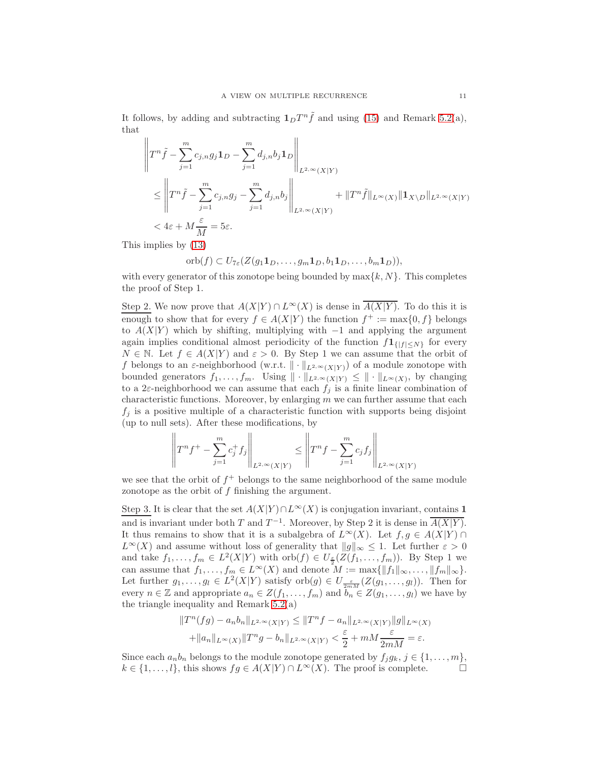It follows, by adding and subtracting  $1_D T^n \tilde{f}$  and using [\(15\)](#page-9-3) and Remark 5.2(a), that

$$
\left\|T^{n}\tilde{f} - \sum_{j=1}^{m} c_{j,n}g_{j}\mathbf{1}_{D} - \sum_{j=1}^{m} d_{j,n}b_{j}\mathbf{1}_{D}\right\|_{L^{2,\infty}(X|Y)}
$$
\n
$$
\leq \left\|T^{n}\tilde{f} - \sum_{j=1}^{m} c_{j,n}g_{j} - \sum_{j=1}^{m} d_{j,n}b_{j}\right\|_{L^{2,\infty}(X|Y)} + \|T^{n}\tilde{f}\|_{L^{\infty}(X)}\|\mathbf{1}_{X\setminus D}\|_{L^{2,\infty}(X|Y)}
$$
\n
$$
< 4\varepsilon + M\frac{\varepsilon}{M} = 5\varepsilon.
$$

This implies by [\(13\)](#page-9-4)

$$
\mathrm{orb}(f) \subset U_{7\varepsilon}(Z(g_1 \mathbf{1}_D, \ldots, g_m \mathbf{1}_D, b_1 \mathbf{1}_D, \ldots, b_m \mathbf{1}_D)),
$$

with every generator of this zonotope being bounded by  $\max\{k, N\}$ . This completes the proof of Step 1.

Step 2. We now prove that  $A(X|Y) \cap L^{\infty}(X)$  is dense in  $\overline{A(X|Y)}$ . To do this it is enough to show that for every  $f \in A(X|Y)$  the function  $f^+ := \max\{0, f\}$  belongs to  $A(X|Y)$  which by shifting, multiplying with  $-1$  and applying the argument again implies conditional almost periodicity of the function  $f1_{\{|f|\leq N\}}$  for every  $N \in \mathbb{N}$ . Let  $f \in A(X|Y)$  and  $\varepsilon > 0$ . By Step 1 we can assume that the orbit of f belongs to an  $\varepsilon$ -neighborhood (w.r.t.  $\|\cdot\|_{L^{2,\infty}(X|Y)}$ ) of a module zonotope with bounded generators  $f_1, \ldots, f_m$ . Using  $\| \cdot \|_{L^{2,\infty}(X|Y)} \leq \| \cdot \|_{L^{\infty}(X)}$ , by changing to a  $2\varepsilon$ -neighborhood we can assume that each  $f_j$  is a finite linear combination of characteristic functions. Moreover, by enlarging  $m$  we can further assume that each  $f_i$  is a positive multiple of a characteristic function with supports being disjoint (up to null sets). After these modifications, by

$$
\left\|T^{n}f^{+}-\sum_{j=1}^{m}c_{j}^{+}f_{j}\right\|_{L^{2,\infty}(X|Y)} \leq \left\|T^{n}f-\sum_{j=1}^{m}c_{j}f_{j}\right\|_{L^{2,\infty}(X|Y)}
$$

we see that the orbit of  $f^+$  belongs to the same neighborhood of the same module zonotope as the orbit of  $f$  finishing the argument.

Step 3. It is clear that the set  $A(X|Y) \cap L^{\infty}(X)$  is conjugation invariant, contains 1 and is invariant under both T and  $T^{-1}$ . Moreover, by Step 2 it is dense in  $\overline{A(X|Y)}$ . It thus remains to show that it is a subalgebra of  $L^{\infty}(X)$ . Let  $f, g \in A(X|Y) \cap A$  $L^{\infty}(X)$  and assume without loss of generality that  $||g||_{\infty} \leq 1$ . Let further  $\varepsilon > 0$ and take  $f_1, \ldots, f_m \in L^2(X|Y)$  with  $\text{orb}(f) \in U_{\frac{\varepsilon}{2}}(Z(f_1, \ldots, f_m))$ . By Step 1 we can assume that  $f_1, \ldots, f_m \in L^{\infty}(X)$  and denote  $M := \max\{||f_1||_{\infty}, \ldots, ||f_m||_{\infty}\}.$ Let further  $g_1, \ldots, g_l \in L^2(X|Y)$  satisfy  $\mathrm{orb}(g) \in U_{\frac{\varepsilon}{2mM}}(Z(g_1, \ldots, g_l))$ . Then for every  $n \in \mathbb{Z}$  and appropriate  $a_n \in Z(f_1, \ldots, f_m)$  and  $b_n \in Z(g_1, \ldots, g_l)$  we have by the triangle inequality and Remark 5.2(a)

$$
||T^n(fg) - a_n b_n||_{L^{2,\infty}(X|Y)} \le ||T^n f - a_n||_{L^{2,\infty}(X|Y)} ||g||_{L^{\infty}(X)}
$$
  
 
$$
+ ||a_n||_{L^{\infty}(X)} ||T^n g - b_n||_{L^{2,\infty}(X|Y)} < \frac{\varepsilon}{2} + mM \frac{\varepsilon}{2mM} = \varepsilon.
$$

Since each  $a_n b_n$  belongs to the module zonotope generated by  $f_j g_k, j \in \{1, \ldots, m\},$  $k \in \{1, \ldots, l\}$ , this shows  $fg \in A(X|Y) \cap L^{\infty}(X)$ . The proof is complete.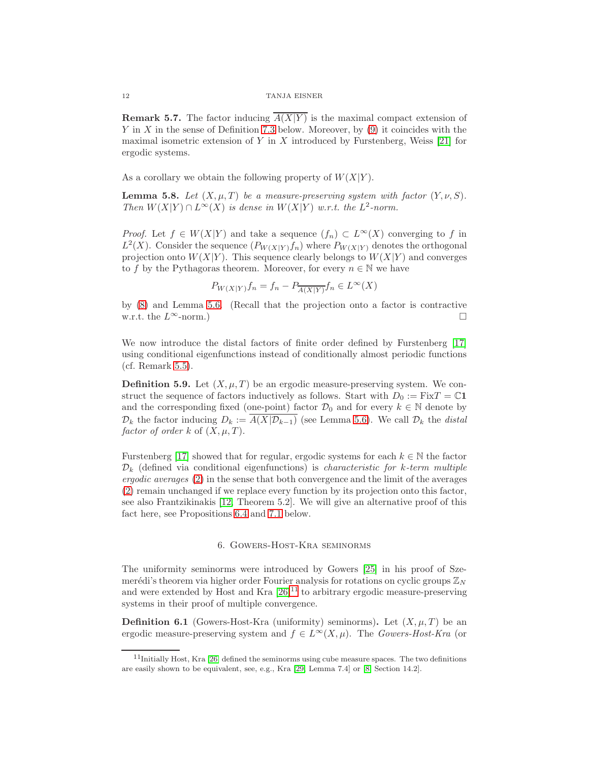**Remark 5.7.** The factor inducing  $\overline{A(X|Y)}$  is the maximal compact extension of Y in X in the sense of Definition [7.3](#page-14-0) below. Moreover, by  $(9)$  it coincides with the maximal isometric extension of Y in X introduced by Furstenberg, Weiss  $[21]$  for ergodic systems.

As a corollary we obtain the following property of  $W(X|Y)$ .

<span id="page-11-1"></span>**Lemma 5.8.** Let  $(X, \mu, T)$  be a measure-preserving system with factor  $(Y, \nu, S)$ . Then  $W(X|Y) \cap L^{\infty}(X)$  is dense in  $W(X|Y)$  w.r.t. the  $L^2$ -norm.

*Proof.* Let  $f \in W(X|Y)$  and take a sequence  $(f_n) \subset L^{\infty}(X)$  converging to f in  $L^2(X)$ . Consider the sequence  $(P_{W(X|Y)}f_n)$  where  $P_{W(X|Y)}$  denotes the orthogonal projection onto  $W(X|Y)$ . This sequence clearly belongs to  $W(X|Y)$  and converges to f by the Pythagoras theorem. Moreover, for every  $n \in \mathbb{N}$  we have

$$
P_{W(X|Y)}f_n = f_n - P_{\overline{A(X|Y)}}f_n \in L^{\infty}(X)
$$

by [\(8\)](#page-8-0) and Lemma [5.6.](#page-8-4) (Recall that the projection onto a factor is contractive w.r.t. the  $L^{\infty}$ -norm.)

We now introduce the distal factors of finite order defined by Furstenberg [\[17\]](#page-16-1) using conditional eigenfunctions instead of conditionally almost periodic functions (cf. Remark [5.5\)](#page-8-5).

**Definition 5.9.** Let  $(X, \mu, T)$  be an ergodic measure-preserving system. We construct the sequence of factors inductively as follows. Start with  $D_0 := FixT = \mathbb{C}1$ and the corresponding fixed (one-point) factor  $\mathcal{D}_0$  and for every  $k \in \mathbb{N}$  denote by  $\mathcal{D}_k$  the factor inducing  $D_k := \overline{A(X|\mathcal{D}_{k-1})}$  (see Lemma [5.6\)](#page-8-4). We call  $\mathcal{D}_k$  the distal factor of order k of  $(X, \mu, T)$ .

Furstenberg [\[17\]](#page-16-1) showed that for regular, ergodic systems for each  $k \in \mathbb{N}$  the factor  $\mathcal{D}_k$  (defined via conditional eigenfunctions) is *characteristic for k-term multiple* ergodic averages [\(2\)](#page-2-1) in the sense that both convergence and the limit of the averages [\(2\)](#page-2-1) remain unchanged if we replace every function by its projection onto this factor, see also Frantzikinakis [\[12,](#page-15-14) Theorem 5.2]. We will give an alternative proof of this fact here, see Propositions [6.4](#page-12-0) and [7.1](#page-13-0) below.

## 6. Gowers-Host-Kra seminorms

The uniformity seminorms were introduced by Gowers [\[25\]](#page-16-26) in his proof of Szemerédi's theorem via higher order Fourier analysis for rotations on cyclic groups  $\mathbb{Z}_N$ and were extended by Host and Kra  $[26]^{11}$  $[26]^{11}$  $[26]^{11}$  to arbitrary ergodic measure-preserving systems in their proof of multiple convergence.

**Definition 6.1** (Gowers-Host-Kra (uniformity) seminorms). Let  $(X, \mu, T)$  be an ergodic measure-preserving system and  $f \in L^{\infty}(X, \mu)$ . The Gowers-Host-Kra (or

<span id="page-11-0"></span> $11$ Initially Host, Kra [\[26\]](#page-16-13) defined the seminorms using cube measure spaces. The two definitions are easily shown to be equivalent, see, e.g., Kra [\[29,](#page-16-21) Lemma 7.4] or [\[8,](#page-15-12) Section 14.2].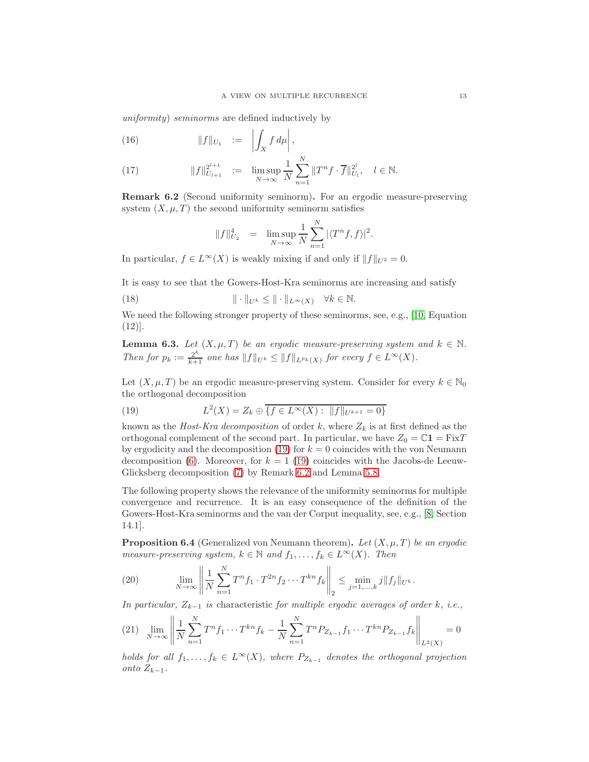uniformity) seminorms are defined inductively by

$$
(16) \t\t\t ||f||_{U_1} := \left| \int_X f d\mu \right|,
$$

(17) 
$$
||f||_{U_{l+1}}^{2^{l+1}} := \limsup_{N \to \infty} \frac{1}{N} \sum_{n=1}^{N} ||T^n f \cdot \overline{f}||_{U_l}^{2^l}, \quad l \in \mathbb{N}.
$$

<span id="page-12-2"></span>Remark 6.2 (Second uniformity seminorm). For an ergodic measure-preserving system  $(X, \mu, T)$  the second uniformity seminorm satisfies

$$
||f||_{U_2}^4 = \limsup_{N \to \infty} \frac{1}{N} \sum_{n=1}^N |\langle T^n f, f \rangle|^2.
$$

In particular,  $f \in L^{\infty}(X)$  is weakly mixing if and only if  $||f||_{U^2} = 0$ .

It is easy to see that the Gowers-Host-Kra seminorms are increasing and satisfy

(18) 
$$
\|\cdot\|_{U^k} \le \|\cdot\|_{L^\infty(X)} \quad \forall k \in \mathbb{N}.
$$

We need the following stronger property of these seminorms, see, e.g., [\[10,](#page-15-15) Equation] (12)].

<span id="page-12-4"></span>**Lemma 6.3.** Let  $(X, \mu, T)$  be an ergodic measure-preserving system and  $k \in \mathbb{N}$ . Then for  $p_k := \frac{2^k}{k+1}$  one has  $||f||_{U^k} \le ||f||_{L^{p_k}(X)}$  for every  $f \in L^{\infty}(X)$ .

Let  $(X, \mu, T)$  be an ergodic measure-preserving system. Consider for every  $k \in \mathbb{N}_0$ the orthogonal decomposition

<span id="page-12-1"></span>(19) 
$$
L^{2}(X) = Z_{k} \oplus \overline{\{f \in L^{\infty}(X) : ||f||_{U^{k+1}} = 0\}}
$$

known as the *Host-Kra decomposition* of order k, where  $Z_k$  is at first defined as the orthogonal complement of the second part. In particular, we have  $Z_0 = \mathbb{C}1 = \text{Fix}T$ by ergodicity and the decomposition [\(19\)](#page-12-1) for  $k = 0$  coincides with the von Neumann decomposition [\(6\)](#page-5-1). Moreover, for  $k = 1$  [\(19\)](#page-12-1) coincides with the Jacobs-de Leeuw-Glicksberg decomposition [\(7\)](#page-5-2) by Remark [6.2](#page-12-2) and Lemma [5.8.](#page-11-1)

The following property shows the relevance of the uniformity seminorms for multiple convergence and recurrence. It is an easy consequence of the definition of the Gowers-Host-Kra seminorms and the van der Corput inequality, see, e.g., [\[8,](#page-15-12) Section 14.1].

<span id="page-12-0"></span>**Proposition 6.4** (Generalized von Neumann theorem). Let  $(X, \mu, T)$  be an ergodic measure-preserving system,  $k \in \mathbb{N}$  and  $f_1, \ldots, f_k \in L^{\infty}(X)$ . Then

(20) 
$$
\lim_{N \to \infty} \left\| \frac{1}{N} \sum_{n=1}^{N} T^n f_1 \cdot T^{2n} f_2 \cdots T^{kn} f_k \right\|_2 \leq \min_{j=1,...,k} j \|f_j\|_{U^k}.
$$

In particular,  $Z_{k-1}$  is characteristic for multiple ergodic averages of order k, i.e.,

<span id="page-12-3"></span>
$$
(21) \quad \lim_{N \to \infty} \left\| \frac{1}{N} \sum_{n=1}^{N} T^n f_1 \cdots T^{kn} f_k - \frac{1}{N} \sum_{n=1}^{N} T^n P_{Z_{k-1}} f_1 \cdots T^{kn} P_{Z_{k-1}} f_k \right\|_{L^2(X)} = 0
$$

holds for all  $f_1, \ldots, f_k \in L^{\infty}(X)$ , where  $P_{Z_{k-1}}$  denotes the orthogonal projection onto  $Z_{k-1}$ .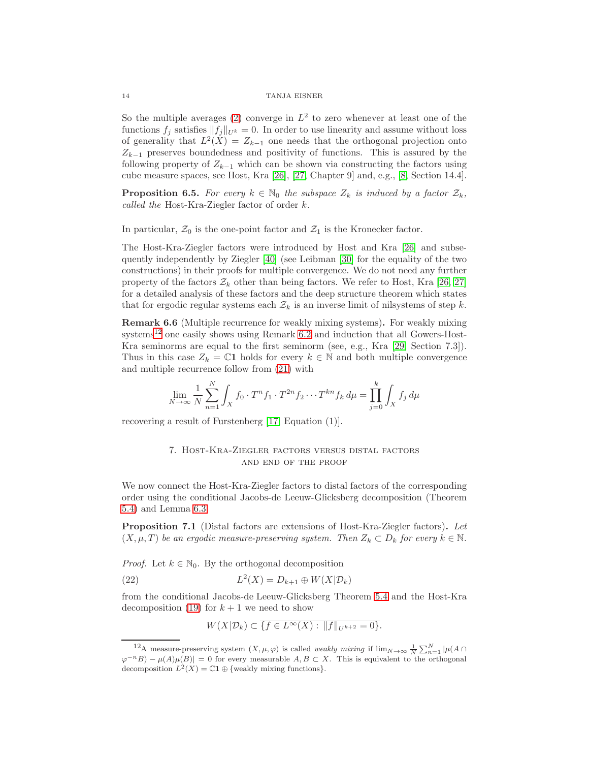So the multiple averages [\(2\)](#page-2-1) converge in  $L^2$  to zero whenever at least one of the functions  $f_j$  satisfies  $||f_j||_{U^k} = 0$ . In order to use linearity and assume without loss of generality that  $L^2(X) = Z_{k-1}$  one needs that the orthogonal projection onto  $Z_{k-1}$  preserves boundedness and positivity of functions. This is assured by the following property of  $Z_{k-1}$  which can be shown via constructing the factors using cube measure spaces, see Host, Kra [\[26\]](#page-16-13), [\[27,](#page-16-15) Chapter 9] and, e.g., [\[8,](#page-15-12) Section 14.4].

<span id="page-13-3"></span>**Proposition 6.5.** For every  $k \in \mathbb{N}_0$  the subspace  $Z_k$  is induced by a factor  $\mathcal{Z}_k$ , called the Host-Kra-Ziegler factor of order k.

In particular,  $\mathcal{Z}_0$  is the one-point factor and  $\mathcal{Z}_1$  is the Kronecker factor.

The Host-Kra-Ziegler factors were introduced by Host and Kra [\[26\]](#page-16-13) and subsequently independently by Ziegler [\[40\]](#page-16-16) (see Leibman [\[30\]](#page-16-27) for the equality of the two constructions) in their proofs for multiple convergence. We do not need any further property of the factors  $\mathcal{Z}_k$  other than being factors. We refer to Host, Kra [\[26,](#page-16-13) [27\]](#page-16-15) for a detailed analysis of these factors and the deep structure theorem which states that for ergodic regular systems each  $\mathcal{Z}_k$  is an inverse limit of nilsystems of step k.

Remark 6.6 (Multiple recurrence for weakly mixing systems). For weakly mixing systems<sup>[12](#page-13-1)</sup> one easily shows using Remark  $6.2$  and induction that all Gowers-Host-Kra seminorms are equal to the first seminorm (see, e.g., Kra [\[29,](#page-16-21) Section 7.3]). Thus in this case  $Z_k = \mathbb{C}1$  holds for every  $k \in \mathbb{N}$  and both multiple convergence and multiple recurrence follow from [\(21\)](#page-12-3) with

$$
\lim_{N \to \infty} \frac{1}{N} \sum_{n=1}^{N} \int_{X} f_0 \cdot T^n f_1 \cdot T^{2n} f_2 \cdots T^{kn} f_k d\mu = \prod_{j=0}^{k} \int_{X} f_j d\mu
$$

recovering a result of Furstenberg [\[17,](#page-16-1) Equation (1)].

# 7. Host-Kra-Ziegler factors versus distal factors and end of the proof

We now connect the Host-Kra-Ziegler factors to distal factors of the corresponding order using the conditional Jacobs-de Leeuw-Glicksberg decomposition (Theorem [5.4\)](#page-8-6) and Lemma [6.3.](#page-12-4)

<span id="page-13-0"></span>Proposition 7.1 (Distal factors are extensions of Host-Kra-Ziegler factors). Let  $(X, \mu, T)$  be an ergodic measure-preserving system. Then  $Z_k \subset D_k$  for every  $k \in \mathbb{N}$ .

*Proof.* Let  $k \in \mathbb{N}_0$ . By the orthogonal decomposition

(22) 
$$
L^2(X) = D_{k+1} \oplus W(X | \mathcal{D}_k)
$$

from the conditional Jacobs-de Leeuw-Glicksberg Theorem [5.4](#page-8-6) and the Host-Kra decomposition [\(19\)](#page-12-1) for  $k + 1$  we need to show

<span id="page-13-2"></span>
$$
W(X|\mathcal{D}_k) \subset \overline{\{f \in L^\infty(X) : ||f||_{U^{k+2}} = 0\}}.
$$

<span id="page-13-1"></span><sup>&</sup>lt;sup>12</sup>A measure-preserving system  $(X, \mu, \varphi)$  is called *weakly mixing* if  $\lim_{N\to\infty} \frac{1}{N} \sum_{n=1}^{N} |\mu(A \cap B)|$  $\varphi^{-n}B - \mu(A)\mu(B) = 0$  for every measurable  $A, B \subset X$ . This is equivalent to the orthogonal decomposition  $L^2(X) = \mathbb{C}1 \oplus \{\text{weakly mixing functions}\}.$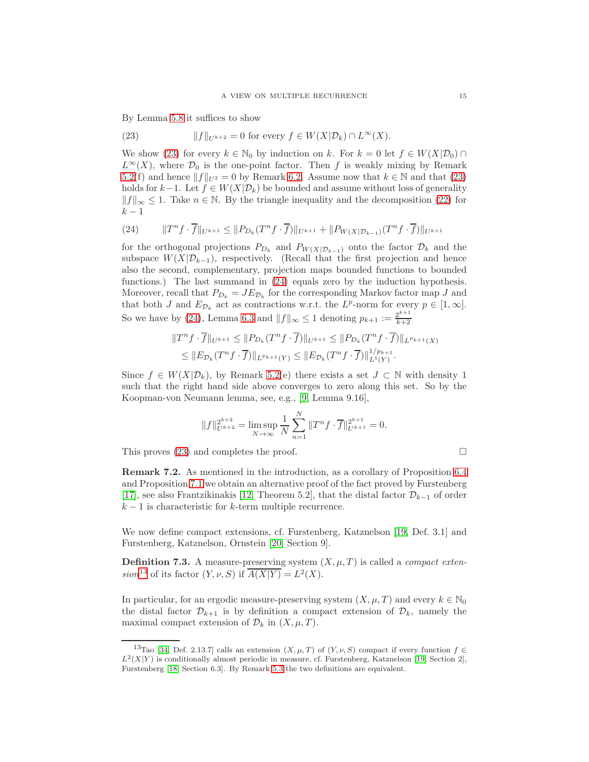By Lemma [5.8](#page-11-1) it suffices to show

<span id="page-14-1"></span>(23) 
$$
||f||_{U^{k+2}} = 0 \text{ for every } f \in W(X|\mathcal{D}_k) \cap L^{\infty}(X).
$$

We show [\(23\)](#page-14-1) for every  $k \in \mathbb{N}_0$  by induction on k. For  $k = 0$  let  $f \in W(X|\mathcal{D}_0) \cap$  $L^{\infty}(X)$ , where  $\mathcal{D}_0$  is the one-point factor. Then f is weakly mixing by Remark 5.2(f) and hence  $||f||_{U^2} = 0$  by Remark [6.2.](#page-12-2) Assume now that  $k \in \mathbb{N}$  and that [\(23\)](#page-14-1) holds for  $k-1$ . Let  $f \in W(X|\mathcal{D}_k)$  be bounded and assume without loss of generality  $||f||_{\infty}$  ≤ 1. Take  $n \in \mathbb{N}$ . By the triangle inequality and the decomposition [\(22\)](#page-13-2) for  $k-1$ 

<span id="page-14-2"></span>(24) 
$$
\|T^n f \cdot \overline{f}\|_{U^{k+1}} \le \|P_{D_k}(T^n f \cdot \overline{f})\|_{U^{k+1}} + \|P_{W(X|\mathcal{D}_{k-1})}(T^n f \cdot \overline{f})\|_{U^{k+1}}
$$

for the orthogonal projections  $P_{D_k}$  and  $P_{W(X|D_{k-1})}$  onto the factor  $D_k$  and the subspace  $W(X|\mathcal{D}_{k-1})$ , respectively. (Recall that the first projection and hence also the second, complementary, projection maps bounded functions to bounded functions.) The last summand in [\(24\)](#page-14-2) equals zero by the induction hypothesis. Moreover, recall that  $P_{D_k} = JE_{\mathcal{D}_k}$  for the corresponding Markov factor map J and that both J and  $E_{\mathcal{D}_k}$  act as contractions w.r.t. the  $L^p$ -norm for every  $p \in [1,\infty]$ . So we have by [\(24\)](#page-14-2), Lemma [6.3](#page-12-4) and  $||f||_{\infty} \leq 1$  denoting  $p_{k+1} := \frac{2^{k+1}}{k+2}$  $k+2$ 

$$
||T^n f \cdot \overline{f}||_{U^{k+1}} \le ||P_{D_k}(T^n f \cdot \overline{f})||_{U^{k+1}} \le ||P_{D_k}(T^n f \cdot \overline{f})||_{L^{p_{k+1}}(X)}
$$
  

$$
\le ||E_{\mathcal{D}_k}(T^n f \cdot \overline{f})||_{L^{p_{k+1}}(Y)} \le ||E_{\mathcal{D}_k}(T^n f \cdot \overline{f})||_{L^1(Y)}^{1/p_{k+1}}.
$$

Since  $f \in W(X|\mathcal{D}_k)$ , by Remark 5.2(e) there exists a set  $J \subset \mathbb{N}$  with density 1 such that the right hand side above converges to zero along this set. So by the Koopman-von Neumann lemma, see, e.g., [\[9,](#page-15-10) Lemma 9.16],

$$
||f||_{U^{k+2}}^{2^{k+2}} = \limsup_{N \to \infty} \frac{1}{N} \sum_{n=1}^{N} ||T^n f \cdot \overline{f}||_{U^{k+1}}^{2^{k+1}} = 0.
$$

This proves [\(23\)](#page-14-1) and completes the proof.  $\Box$ 

Remark 7.2. As mentioned in the introduction, as a corollary of Proposition [6.4](#page-12-0) and Proposition [7.1](#page-13-0) we obtain an alternative proof of the fact proved by Furstenberg [\[17\]](#page-16-1), see also Frantzikinakis [\[12,](#page-15-14) Theorem 5.2], that the distal factor  $\mathcal{D}_{k-1}$  of order  $k-1$  is characteristic for k-term multiple recurrence.

We now define compact extensions, cf. Furstenberg, Katznelson [\[19,](#page-16-2) Def. 3.1] and Furstenberg, Katznelson, Ornstein [\[20,](#page-16-18) Section 9].

<span id="page-14-0"></span>**Definition 7.3.** A measure-preserving system  $(X, \mu, T)$  is called a *compact exten*-sion<sup>[13](#page-14-3)</sup> of its factor  $(Y, \nu, S)$  if  $\overline{A(X|Y)} = L^2(X)$ .

In particular, for an ergodic measure-preserving system  $(X, \mu, T)$  and every  $k \in \mathbb{N}_0$ the distal factor  $\mathcal{D}_{k+1}$  is by definition a compact extension of  $\mathcal{D}_k$ , namely the maximal compact extension of  $\mathcal{D}_k$  in  $(X, \mu, T)$ .

<span id="page-14-3"></span><sup>&</sup>lt;sup>13</sup>Tao [\[34,](#page-16-12) Def. 2.13.7] calls an extension  $(X, \mu, T)$  of  $(Y, \nu, S)$  compact if every function  $f \in$  $L^2(X|Y)$  is conditionally almost periodic in measure, cf. Furstenberg, Katznelson [\[19,](#page-16-2) Section 2], Furstenberg [\[18,](#page-16-20) Section 6.3]. By Remark [5.3](#page-7-1) the two definitions are equivalent.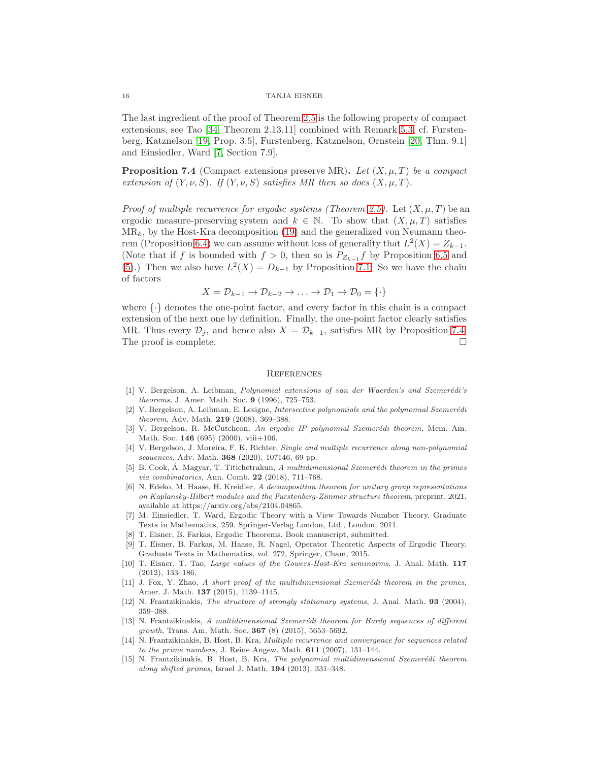The last ingredient of the proof of Theorem [2.5](#page-3-5) is the following property of compact extensions, see Tao [\[34,](#page-16-12) Theorem 2.13.11] combined with Remark [5.3,](#page-7-1) cf. Furstenberg, Katznelson [\[19,](#page-16-2) Prop. 3.5], Furstenberg, Katznelson, Ornstein [\[20,](#page-16-18) Thm. 9.1] and Einsiedler, Ward [\[7,](#page-15-11) Section 7.9].

<span id="page-15-9"></span>**Proposition 7.4** (Compact extensions preserve MR). Let  $(X, \mu, T)$  be a compact extension of  $(Y, \nu, S)$ . If  $(Y, \nu, S)$  satisfies MR then so does  $(X, \mu, T)$ .

*Proof of multiple recurrence for ergodic systems (Theorem [2.5\)](#page-3-5).* Let  $(X, \mu, T)$  be an ergodic measure-preserving system and  $k \in \mathbb{N}$ . To show that  $(X, \mu, T)$  satisfies  $MR_k$ , by the Host-Kra decomposition [\(19\)](#page-12-1) and the generalized von Neumann theo-rem (Proposition [6.4\)](#page-12-0) we can assume without loss of generality that  $L^2(X) = Z_{k-1}$ . (Note that if f is bounded with  $f > 0$ , then so is  $P_{Z_{k-1}} f$  by Proposition [6.5](#page-13-3) and [\(5\)](#page-4-0).) Then we also have  $L^2(X) = D_{k-1}$  by Proposition [7.1.](#page-13-0) So we have the chain of factors

$$
X = \mathcal{D}_{k-1} \to \mathcal{D}_{k-2} \to \ldots \to \mathcal{D}_1 \to \mathcal{D}_0 = \{\cdot\}
$$

where  $\{\cdot\}$  denotes the one-point factor, and every factor in this chain is a compact extension of the next one by definition. Finally, the one-point factor clearly satisfies MR. Thus every  $\mathcal{D}_i$ , and hence also  $X = \mathcal{D}_{k-1}$ , satisfies MR by Proposition [7.4.](#page-15-9) The proof is complete.  $\Box$ 

#### **REFERENCES**

- <span id="page-15-0"></span>[1] V. Bergelson, A. Leibman, Polynomial extensions of van der Waerden's and Szemerédi's theorems, J. Amer. Math. Soc. 9 (1996), 725–753.
- <span id="page-15-5"></span>[2] V. Bergelson, A. Leibman, E. Lesigne, *Intersective polynomials and the polynomial Szemerédi* theorem, Adv. Math. 219 (2008), 369–388.
- <span id="page-15-3"></span>[3] V. Bergelson, R. McCutcheon, An ergodic IP polynomial Szemerédi theorem, Mem. Am. Math. Soc. 146 (695) (2000), viii+106.
- <span id="page-15-8"></span>[4] V. Bergelson, J. Moreira, F. K. Richter, Single and multiple recurrence along non-polynomial sequences, Adv. Math. **368** (2020), 107146, 69 pp.
- <span id="page-15-1"></span>[5] B. Cook, Á. Magyar, T. Titichetrakun, A multidimensional Szemerédi theorem in the primes via combinatorics, Ann. Comb. 22 (2018), 711-768.
- <span id="page-15-13"></span>[6] N. Edeko, M. Haase, H. Kreidler, A decomposition theorem for unitary group representations on Kaplansky-Hilbert modules and the Furstenberg-Zimmer structure theorem, preprint, 2021, available at https://arxiv.org/abs/2104.04865.
- <span id="page-15-11"></span>[7] M. Einsiedler, T. Ward, Ergodic Theory with a View Towards Number Theory. Graduate Texts in Mathematics, 259. Springer-Verlag London, Ltd., London, 2011.
- <span id="page-15-12"></span><span id="page-15-10"></span>[8] T. Eisner, B. Farkas, Ergodic Theorems. Book manuscript, submitted.
- [9] T. Eisner, B. Farkas, M. Haase, R. Nagel, Operator Theoretic Aspects of Ergodic Theory. Graduate Texts in Mathematics, vol. 272, Springer, Cham, 2015.
- <span id="page-15-15"></span>[10] T. Eisner, T. Tao, Large values of the Gowers-Host-Kra seminorms, J. Anal. Math. 117 (2012), 133–186.
- <span id="page-15-2"></span> $[11]$  J. Fox, Y. Zhao, A short proof of the multidimensional Szemerédi theorem in the primes, Amer. J. Math. 137 (2015), 1139–1145.
- <span id="page-15-14"></span>[12] N. Frantzikinakis, The structure of strongly stationary systems, J. Anal. Math. 93 (2004), 359–388.
- <span id="page-15-7"></span>[13] N. Frantzikinakis, A multidimensional Szemerédi theorem for Hardy sequences of different growth, Trans. Am. Math. Soc. 367 (8) (2015), 5653–5692.
- <span id="page-15-4"></span>[14] N. Frantzikinakis, B. Host, B. Kra, Multiple recurrence and convergence for sequences related to the prime numbers, J. Reine Angew. Math.  $611$   $(2007)$ ,  $131-144$ .
- <span id="page-15-6"></span>[15] N. Frantzikinakis, B. Host, B. Kra, The polynomial multidimensional Szemerédi theorem along shifted primes, Israel J. Math. 194 (2013), 331–348.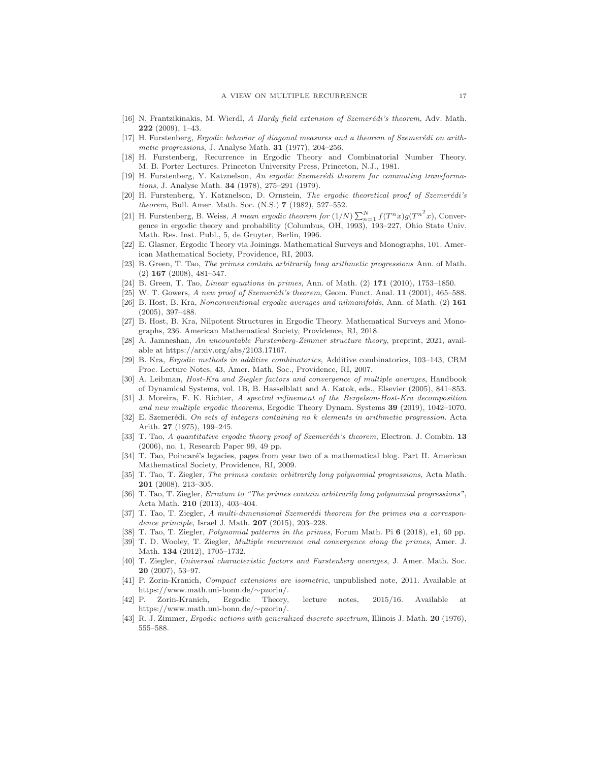- <span id="page-16-9"></span><span id="page-16-1"></span>[16] N. Frantzikinakis, M. Wierdl, A Hardy field extension of Szemerédi's theorem, Adv. Math. 222 (2009), 1–43.
- [17] H. Furstenberg, Ergodic behavior of diagonal measures and a theorem of Szemerédi on arithmetic progressions, J. Analyse Math.  $31$  (1977), 204–256.
- <span id="page-16-20"></span>[18] H. Furstenberg, Recurrence in Ergodic Theory and Combinatorial Number Theory. M. B. Porter Lectures. Princeton University Press, Princeton, N.J., 1981.
- <span id="page-16-2"></span>[19] H. Furstenberg, Y. Katznelson, An ergodic Szemerédi theorem for commuting transformations, J. Analyse Math. 34 (1978), 275–291 (1979).
- <span id="page-16-18"></span>[20] H. Furstenberg, Y. Katznelson, D. Ornstein, The ergodic theoretical proof of Szemerédi's theorem, Bull. Amer. Math. Soc. (N.S.) 7 (1982), 527-552.
- <span id="page-16-25"></span>[21] H. Furstenberg, B. Weiss, A mean ergodic theorem for  $(1/N)\sum_{n=1}^{N} f(T^n x)g(T^{n^2} x)$ , Convergence in ergodic theory and probability (Columbus, OH, 1993), 193–227, Ohio State Univ. Math. Res. Inst. Publ., 5, de Gruyter, Berlin, 1996.
- <span id="page-16-19"></span><span id="page-16-3"></span>[22] E. Glasner, Ergodic Theory via Joinings. Mathematical Surveys and Monographs, 101. American Mathematical Society, Providence, RI, 2003.
- [23] B. Green, T. Tao, The primes contain arbitrarily long arithmetic progressions Ann. of Math. (2) 167 (2008), 481–547.
- <span id="page-16-26"></span><span id="page-16-4"></span>[24] B. Green, T. Tao, Linear equations in primes, Ann. of Math. (2) 171 (2010), 1753–1850.
- <span id="page-16-13"></span>[25] W. T. Gowers, A new proof of Szemerédi's theorem, Geom. Funct. Anal.  $11$  (2001), 465–588. [26] B. Host, B. Kra, Nonconventional ergodic averages and nilmanifolds, Ann. of Math. (2) 161 (2005), 397–488.
- <span id="page-16-15"></span>[27] B. Host, B. Kra, Nilpotent Structures in Ergodic Theory. Mathematical Surveys and Monographs, 236. American Mathematical Society, Providence, RI, 2018.
- <span id="page-16-23"></span>[28] A. Jamneshan, An uncountable Furstenberg-Zimmer structure theory, preprint, 2021, available at https://arxiv.org/abs/2103.17167.
- <span id="page-16-21"></span>[29] B. Kra, Ergodic methods in additive combinatorics, Additive combinatorics, 103–143, CRM Proc. Lecture Notes, 43, Amer. Math. Soc., Providence, RI, 2007.
- <span id="page-16-27"></span>[30] A. Leibman, Host-Kra and Ziegler factors and convergence of multiple averages, Handbook of Dynamical Systems, vol. 1B, B. Hasselblatt and A. Katok, eds., Elsevier (2005), 841–853.
- <span id="page-16-11"></span>[31] J. Moreira, F. K. Richter, A spectral refinement of the Bergelson-Host-Kra decomposition and new multiple ergodic theorems, Ergodic Theory Dynam. Systems 39 (2019), 1042–1070.
- <span id="page-16-0"></span>[32] E. Szemerédi, On sets of integers containing no k elements in arithmetic progression. Acta Arith. 27 (1975), 199–245.
- <span id="page-16-14"></span>[33] T. Tao, A quantitative ergodic theory proof of Szemerédi's theorem, Electron. J. Combin. 13 (2006), no. 1, Research Paper 99, 49 pp.
- <span id="page-16-12"></span>[34] T. Tao, Poincaré's legacies, pages from year two of a mathematical blog. Part II. American Mathematical Society, Providence, RI, 2009.
- <span id="page-16-5"></span>[35] T. Tao, T. Ziegler, The primes contain arbitrarily long polynomial progressions, Acta Math. 201 (2008), 213–305.
- <span id="page-16-6"></span>[36] T. Tao, T. Ziegler, Erratum to "The primes contain arbitrarily long polynomial progressions", Acta Math. 210 (2013), 403–404.
- <span id="page-16-8"></span>[37] T. Tao, T. Ziegler, A multi-dimensional Szemerédi theorem for the primes via a correspondence principle, Israel J. Math. **207** (2015), 203-228.
- <span id="page-16-10"></span><span id="page-16-7"></span>[38] T. Tao, T. Ziegler, Polynomial patterns in the primes, Forum Math. Pi 6 (2018), e1, 60 pp.
- [39] T. D. Wooley, T. Ziegler, Multiple recurrence and convergence along the primes, Amer. J. Math. 134 (2012), 1705–1732.
- <span id="page-16-16"></span>[40] T. Ziegler, Universal characteristic factors and Furstenberg averages, J. Amer. Math. Soc. 20 (2007), 53–97.
- <span id="page-16-22"></span>[41] P. Zorin-Kranich, Compact extensions are isometric, unpublished note, 2011. Available at https://www.math.uni-bonn.de/∼pzorin/.
- <span id="page-16-17"></span>[42] P. Zorin-Kranich, Ergodic Theory, lecture notes, 2015/16. Available at https://www.math.uni-bonn.de/∼pzorin/.
- <span id="page-16-24"></span>[43] R. J. Zimmer, Ergodic actions with generalized discrete spectrum, Illinois J. Math. 20 (1976), 555–588.